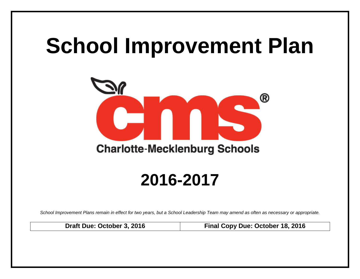# **School Improvement Plan**



## **2016-2017**

*School Improvement Plans remain in effect for two years, but a School Leadership Team may amend as often as necessary or appropriate.*

**Draft Due: October 3, 2016 Final Copy Due: October 18, 2016**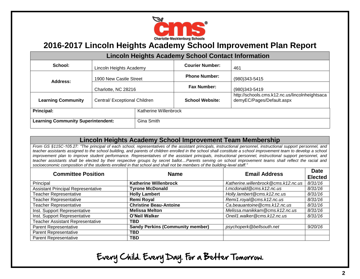

| <b>Lincoln Heights Academy School Contact Information</b> |                               |                       |                        |                                                                             |  |  |  |
|-----------------------------------------------------------|-------------------------------|-----------------------|------------------------|-----------------------------------------------------------------------------|--|--|--|
| School:                                                   | Lincoln Heights Academy       |                       | <b>Courier Number:</b> | 461                                                                         |  |  |  |
| Address:                                                  | 1900 New Castle Street        |                       | <b>Phone Number:</b>   | $(980)343 - 5415$                                                           |  |  |  |
|                                                           | Charlotte, NC 28216           |                       | <b>Fax Number:</b>     | $(980)343 - 5419$                                                           |  |  |  |
| <b>Learning Community</b>                                 | Central/ Exceptional Children |                       | <b>School Website:</b> | http://schools.cms.k12.nc.us/lincolnheightsaca<br>demyEC/Pages/Default.aspx |  |  |  |
| Principal:                                                |                               | Katherine Willenbrock |                        |                                                                             |  |  |  |
| <b>Learning Community Superintendent:</b>                 |                               | Gina Smith            |                        |                                                                             |  |  |  |

#### **Lincoln Heights Academy School Improvement Team Membership**

*From GS §115C-105.27: "The principal of each school, representatives of the assistant principals, instructional personnel, instructional support personnel, and*  teacher assistants assigned to the school building, and parents of children enrolled in the school shall constitute a school improvement team to develop a school *improvement plan to improve student performance. Representatives of the assistant principals, instructional personnel, instructional support personnel, and teacher assistants shall be elected by their respective groups by secret ballot....Parents serving on school improvement teams shall reflect the racial and socioeconomic composition of the students enrolled in that school and shall not be members of the building-level staff."*

| <b>Committee Position</b>                 | <b>Name</b>                             | <b>Email Address</b>                | <b>Date</b>    |
|-------------------------------------------|-----------------------------------------|-------------------------------------|----------------|
|                                           |                                         |                                     | <b>Elected</b> |
| Principal                                 | <b>Katherine Willenbrock</b>            | Katherine.willenbrock@cms.k12.nc.us | 8/31/16        |
| <b>Assistant Principal Representative</b> | <b>Tyrone McDonald</b>                  | t.mcdonald@cms.k12.nc.us            | 8/31/16        |
| <b>Teacher Representative</b>             | <b>Holly Lambert</b>                    | Holly.lambert@cms.k12.nc.us         | 8/31/16        |
| Teacher Representative                    | Remi Royal                              | Remi1.royal@cms.k12.nc.us           | 8/31/16        |
| <b>Teacher Representative</b>             | <b>Christine Beau-Antoine</b>           | Ca.beauantoine@cms.k12.nc.us        | 8/31/16        |
| Inst. Support Representative              | <b>Melissa Melton</b>                   | Melissa.manikkam@cms.k12.nc.us      | 8/31/16        |
| Inst. Support Representative              | O'Neil Walker                           | Oneil1.walker@cms.k12.nc.us         | 8/31/16        |
| Teacher Assistant Representative          | TBD                                     |                                     |                |
| <b>Parent Representative</b>              | <b>Sandy Perkins (Community member)</b> | psychoperk@bellsouth.net            | 9/20/16        |
| <b>Parent Representative</b>              | TBD                                     |                                     |                |
| <b>Parent Representative</b>              | <b>TBD</b>                              |                                     |                |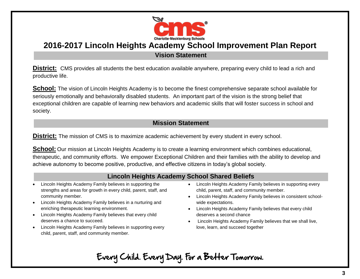

**Vision Statement**

**District:** CMS provides all students the best education available anywhere, preparing every child to lead a rich and productive life.

**School:** The vision of Lincoln Heights Academy is to become the finest comprehensive separate school available for seriously emotionally and behaviorally disabled students. An important part of the vision is the strong belief that exceptional children are capable of learning new behaviors and academic skills that will foster success in school and society.

#### **Mission Statement**

**District:** The mission of CMS is to maximize academic achievement by every student in every school.

**School:** Our mission at Lincoln Heights Academy is to create a learning environment which combines educational, therapeutic, and community efforts. We empower Exceptional Children and their families with the ability to develop and achieve autonomy to become positive, productive, and effective citizens in today's global society.

#### **Lincoln Heights Academy School Shared Beliefs**

- Lincoln Heights Academy Family believes in supporting the strengths and areas for growth in every child, parent, staff, and community member.
- Lincoln Heights Academy Family believes in a nurturing and enriching therapeutic learning environment.
- Lincoln Heights Academy Family believes that every child deserves a chance to succeed.
- Lincoln Heights Academy Family believes in supporting every child, parent, staff, and community member.
- Lincoln Heights Academy Family believes in supporting every child, parent, staff, and community member.
- Lincoln Heights Academy Family believes in consistent schoolwide expectations.
- Lincoln Heights Academy Family believes that every child deserves a second chance
- Lincoln Heights Academy Family believes that we shall live, love, learn, and succeed together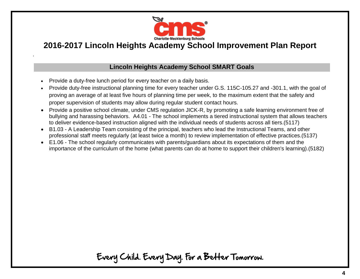

#### **Lincoln Heights Academy School SMART Goals**

Provide a duty-free lunch period for every teacher on a daily basis.

.

- Provide duty-free instructional planning time for every teacher under G.S. 115C-105.27 and -301.1, with the goal of proving an average of at least five hours of planning time per week, to the maximum extent that the safety and proper supervision of students may allow during regular student contact hours.
- Provide a positive school climate, under CMS regulation JICK-R, by promoting a safe learning environment free of bullying and harassing behaviors. A4.01 - The school implements a tiered instructional system that allows teachers to deliver evidence-based instruction aligned with the individual needs of students across all tiers.(5117)
- B1.03 A Leadership Team consisting of the principal, teachers who lead the Instructional Teams, and other professional staff meets regularly (at least twice a month) to review implementation of effective practices.(5137)
- E1.06 The school regularly communicates with parents/guardians about its expectations of them and the importance of the curriculum of the home (what parents can do at home to support their children's learning).(5182)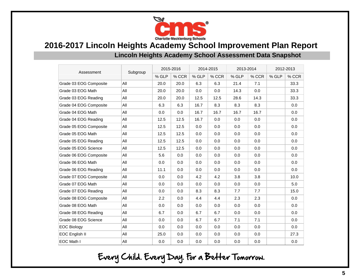

#### **Lincoln Heights Academy School Assessment Data Snapshot**

| Assessment             | Subgroup |       | 2015-2016 |       | 2014-2015 |       | 2013-2014 |       | 2012-2013 |  |
|------------------------|----------|-------|-----------|-------|-----------|-------|-----------|-------|-----------|--|
|                        |          | % GLP | % CCR     | % GLP | % CCR     | % GLP | % CCR     | % GLP | % CCR     |  |
| Grade 03 EOG Composite | All      | 20.0  | 20.0      | 6.3   | 6.3       | 21.4  | 7.1       |       | 33.3      |  |
| Grade 03 EOG Math      | All      | 20.0  | 20.0      | 0.0   | 0.0       | 14.3  | 0.0       |       | 33.3      |  |
| Grade 03 EOG Reading   | All      | 20.0  | 20.0      | 12.5  | 12.5      | 28.6  | 14.3      |       | 33.3      |  |
| Grade 04 EOG Composite | All      | 6.3   | 6.3       | 16.7  | 8.3       | 8.3   | 8.3       |       | 0.0       |  |
| Grade 04 EOG Math      | All      | 0.0   | 0.0       | 16.7  | 16.7      | 16.7  | 16.7      |       | 0.0       |  |
| Grade 04 EOG Reading   | All      | 12.5  | 12.5      | 16.7  | 0.0       | 0.0   | 0.0       |       | 0.0       |  |
| Grade 05 EOG Composite | All      | 12.5  | 12.5      | 0.0   | 0.0       | 0.0   | 0.0       |       | 0.0       |  |
| Grade 05 EOG Math      | All      | 12.5  | 12.5      | 0.0   | 0.0       | 0.0   | 0.0       |       | 0.0       |  |
| Grade 05 EOG Reading   | All      | 12.5  | 12.5      | 0.0   | 0.0       | 0.0   | 0.0       |       | 0.0       |  |
| Grade 05 EOG Science   | All      | 12.5  | 12.5      | 0.0   | 0.0       | 0.0   | 0.0       |       | 0.0       |  |
| Grade 06 EOG Composite | All      | 5.6   | 0.0       | 0.0   | 0.0       | 0.0   | 0.0       |       | 0.0       |  |
| Grade 06 EOG Math      | All      | 0.0   | 0.0       | 0.0   | 0.0       | 0.0   | 0.0       |       | 0.0       |  |
| Grade 06 EOG Reading   | All      | 11.1  | 0.0       | 0.0   | 0.0       | 0.0   | 0.0       |       | 0.0       |  |
| Grade 07 EOG Composite | All      | 0.0   | 0.0       | 4.2   | 4.2       | 3.8   | 3.8       |       | 10.0      |  |
| Grade 07 EOG Math      | All      | 0.0   | 0.0       | 0.0   | 0.0       | 0.0   | 0.0       |       | 5.0       |  |
| Grade 07 EOG Reading   | All      | 0.0   | 0.0       | 8.3   | 8.3       | 7.7   | 7.7       |       | 15.0      |  |
| Grade 08 EOG Composite | All      | 2.2   | 0.0       | 4.4   | 4.4       | 2.3   | 2.3       |       | 0.0       |  |
| Grade 08 EOG Math      | All      | 0.0   | 0.0       | 0.0   | 0.0       | 0.0   | 0.0       |       | 0.0       |  |
| Grade 08 EOG Reading   | All      | 6.7   | 0.0       | 6.7   | 6.7       | 0.0   | 0.0       |       | 0.0       |  |
| Grade 08 EOG Science   | All      | 0.0   | 0.0       | 6.7   | 6.7       | 7.1   | 7.1       |       | 0.0       |  |
| <b>EOC Biology</b>     | All      | 0.0   | 0.0       | 0.0   | 0.0       | 0.0   | 0.0       |       | 0.0       |  |
| EOC English II         | All      | 25.0  | 0.0       | 0.0   | 0.0       | 0.0   | 0.0       |       | 27.3      |  |
| EOC Math I             | All      | 0.0   | 0.0       | 0.0   | 0.0       | 0.0   | 0.0       |       | 0.0       |  |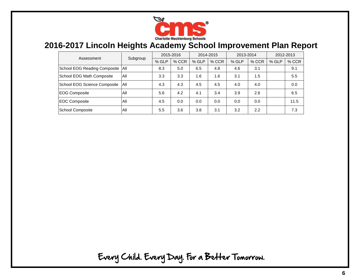

| Assessment                   | Subgroup | 2015-2016 |         | 2014-2015 |       | 2013-2014 |       | 2012-2013 |       |
|------------------------------|----------|-----------|---------|-----------|-------|-----------|-------|-----------|-------|
|                              |          | % GLP     | $%$ CCR | % GLP     | % CCR | % GLP     | % CCR | % GLP     | % CCR |
| School EOG Reading Composite | All      | 8.3       | 5.0     | 6.5       | 4.8   | 4.6       | 3.1   |           | 9.1   |
| School EOG Math Composite    | All      | 3.3       | 3.3     | 1.6       | 1.6   | 3.1       | 1.5   |           | 5.5   |
| School EOG Science Composite | All      | 4.3       | 4.3     | 4.5       | 4.5   | 4.0       | 4.0   |           | 0.0   |
| <b>EOG Composite</b>         | All      | 5.6       | 4.2     | 4.1       | 3.4   | 3.9       | 2.6   |           | 6.5   |
| <b>EOC Composite</b>         | All      | 4.5       | 0.0     | 0.0       | 0.0   | 0.0       | 0.0   |           | 11.5  |
| School Composite             | All      | 5.5       | 3.6     | 3.8       | 3.1   | 3.2       | 2.2   |           | 7.3   |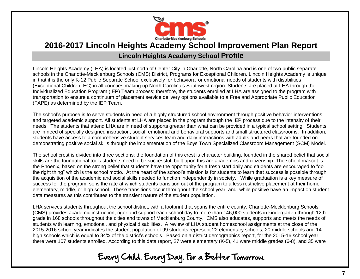

#### **Lincoln Heights Academy School Profile**

Lincoln Heights Academy (LHA) is located just north of Center City in Charlotte, North Carolina and is one of two public separate schools in the Charlotte-Mecklenburg Schools (CMS) District, Programs for Exceptional Children. Lincoln Heights Academy is unique in that it is the only K-12 Public Separate School exclusively for behavioral or emotional needs of students with disabilities (Exceptional Children, EC) in all counties making up North Carolina's Southwest region. Students are placed at LHA through the Individualized Education Program (IEP) Team process; therefore, the students enrolled at LHA are assigned to the program with transportation to ensure a continuum of placement service delivery options available to a Free and Appropriate Public Education (FAPE) as determined by the IEP Team.

The school's purpose is to serve students in need of a highly structured school environment through positive behavior interventions and targeted academic support. All students at LHA are placed in the program through the IEP process due to the intensity of their needs. The students that attend LHA are in need of supports greater than what can be provided in a typical school setting. Students are in need of specially designed instruction, social, emotional and behavioral supports and small structured classrooms. In addition, students have access to a comprehensive student services team and daily interactions with adults and peers that are founded on demonstrating positive social skills through the implementation of the Boys Town Specialized Classroom Management (SCM) Model.

The school crest is divided into three sections: the foundation of this crest is character building, founded in the shared belief that social skills are the foundational tools students need to be successful; built upon this are academics and citizenship. The school mascot is the Phoenix, based on the strong belief that students have the opportunity for a fresh start daily and students are encouraged to "do the right thing" which is the school motto. At the heart of the school's mission is for students to learn that success is possible through the acquisition of the academic and social skills needed to function independently in society. While graduation is a key measure of success for the program, so is the rate at which students transition out of the program to a less restrictive placement at their home elementary, middle, or high school. These transitions occur throughout the school year, and, while positive have an impact on student data measures as this contributes to the transient nature of the student population.

LHA services students throughout the school district, with a footprint that spans the entire county. Charlotte-Mecklenburg Schools (CMS) provides academic instruction, rigor and support each school day to more than 146,000 students in kindergarten through 12th grade in 168 schools throughout the cities and towns of Mecklenburg County. CMS also educates, supports and meets the needs of students with learning, emotional, and physical disabilities. A review of LHA student homeschool assignments at the close of the 2015-2016 school year indicates the student population of 99 students represent 22 elementary schools, 20 middle schools and 14 high schools which is equal to 34% of the district's schools. Based on a district demographics report, for the 2015-16 school year, there were 107 students enrolled. According to this data report, 27 were elementary (K-5), 41 were middle grades (6-8), and 35 were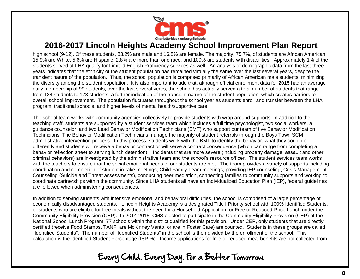

high school (9-12). Of these students, 83.2% are male and 16.8% are female. The majority, 75.7%, of students are African American, 15.9% are White, 5.6% are Hispanic, 2.8% are more than one race, and 100% are students with disabilities. Approximately 1% of the students served at LHA qualify for Limited English Proficiency services as well. An analysis of demographic data from the last three years indicates that the ethnicity of the student population has remained virtually the same over the last several years, despite the transient nature of the population. Thus, the school population is comprised primarily of African American male students, minimizing the diversity among the student population. It is also important to add that, although official enrollment data for 2015 had an average daily membership of 99 students, over the last several years, the school has actually served a total number of students that range from 134 students to 173 students, a further indication of the transient nature of the student population, which creates barriers to overall school improvement. The population fluctuates throughout the school year as students enroll and transfer between the LHA program, traditional schools, and higher levels of mental health/supportive care.

The school team works with community agencies collectively to provide students with wrap around supports. In addition to the teaching staff, students are supported by a student services team which includes a full time psychologist, two social workers, a guidance counselor, and two Lead Behavior Modification Technicians (BMT) who support our team of five Behavior Modification Technicians. The Behavior Modification Technicians manage the majority of student referrals through the Boys Town SCM administrative intervention process. In this process, students work with the BMT to identify the behavior, what they could do differently and students will receive a behavior contract or will serve a contract consequence (which can range from completing a behavior reflection sheet to serving lunch detention). Incidents that are more severe (including property damage, assault and other criminal behaviors) are investigated by the administrative team and the school's resource officer. The student services team works with the teachers to ensure that the social emotional needs of our students are met. The team provides a variety of supports including coordination and completion of student in-take meetings, Child Family Team meetings, providing IEP counseling, Crisis Management Counseling (Suicide and Threat assessments), conducting peer mediation, connecting families to community supports and working to coordinate partnerships within the community. Since LHA students all have an Individualized Education Plan (IEP), federal guidelines are followed when administering consequences.

In addition to serving students with intensive emotional and behavioral difficulties, the school is comprised of a large percentage of economically disadvantaged students. Lincoln Heights Academy is a designated Title I Priority school with 100% Identified Students, or students who are eligible for free meals without the need for a Household Application for Free or Reduced-Price Lunch under the Community Eligibility Provision (CEP). In 2014-2015, CMS elected to participate in the Community Eligibility Provision (CEP) of the National School Lunch Program. 77 schools within the district qualified for this provision. Under CEP, only students that are directly certified (receive Food Stamps, TANF, are McKinney Vento, or are in Foster Care) are counted. Students in these groups are called "Identified Students". The number of "Identified Students" in the school is then divided by the enrollment of the school. This calculation is the Identified Student Percentage (ISP %). Income applications for free or reduced meal benefits are not collected from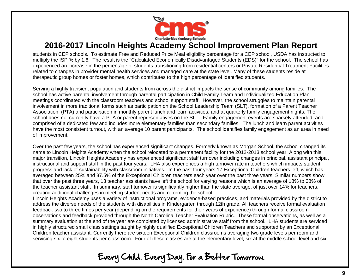

students in CEP schools. To estimate Free and Reduced Price Meal eligibility percentage for a CEP school, USDA has instructed to multiply the ISP % by 1.6. The result is the "Calculated Economically Disadvantaged Students (EDS)" for the school. The school has experienced an increase in the percentage of students transitioning from residential centers or Private Residential Treatment Facilities related to changes in provider mental health services and managed care at the state level. Many of these students reside at therapeutic group homes or foster homes, which contributes to the high percentage of identified students.

Serving a highly transient population and students from across the district impacts the sense of community among families. The school has active parental involvement through parental participation in Child Family Team and Individualized Education Plan meetings coordinated with the classroom teachers and school support staff. However, the school struggles to maintain parental involvement in more traditional forms such as participation on the School Leadership Team (SLT), formation of a Parent Teacher Association (PTA) and participation in monthly parent lunch and learn activities, and at quarterly family engagement nights. The school does not currently have a PTA or parent representatives on the SLT. Family engagement events are sparsely attended, and comprised of a dedicated few and includes more elementary families than secondary families. The lunch and learn parent activities have the most consistent turnout, with an average 10 parent participants. The school identifies family engagement as an area in need of improvement.

Over the past few years, the school has experienced significant changes. Formerly known as Morgan School, the school changed its name to Lincoln Heights Academy when the school relocated to a permanent facility for the 2012-2013 school year. Along with this major transition, Lincoln Heights Academy has experienced significant staff turnover including changes in principal, assistant principal, instructional and support staff in the past four years. LHA also experiences a high turnover rate in teachers which impacts student progress and lack of sustainability with classroom initiatives. In the past four years 17 Exceptional Children teachers left, which has averaged between 25% and 37.5% of the Exceptional Children teachers each year over the past three years. Similar numbers show that over the past three years, 13 teacher assistants have left the school for varying reasons which is an average of 18% to 38% of the teacher assistant staff. In summary, staff turnover is significantly higher than the state average, of just over 14% for teachers, creating additional challenges in meeting student needs and reforming the school.

Lincoln Heights Academy uses a variety of instructional programs, evidence-based practices, and materials provided by the district to address the diverse needs of the students with disabilities in Kindergarten through 12th grade. All teachers receive formal evaluation feedback two to three times per year (depending on the requirements for their years of experience) through formal classroom observations and feedback provided through the North Carolina Teacher Evaluation Rubric. These formal observations, as well as a summary evaluation at the end of the year are completed by licensed administrative staff from the school. LHA students are serviced in highly structured small class settings taught by highly qualified Exceptional Children Teachers and supported by an Exceptional Children teacher assistant. Currently there are sixteen Exceptional Children classrooms averaging two grade levels per room and servicing six to eight students per classroom. Four of these classes are at the elementary level, six at the middle school level and six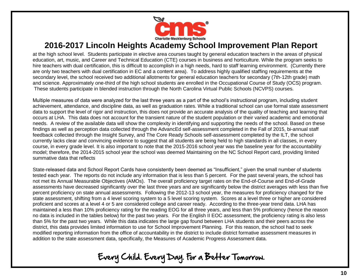

at the high school level. Students participate in elective area courses taught by general education teachers in the areas of physical education, art, music, and Career and Technical Education (CTE) courses in business and horticulture. While the program seeks to hire teachers with dual certification, this is difficult to accomplish in a high needs, hard to staff learning environment. (Currently there are only two teachers with dual certification in EC and a content area). To address highly qualified staffing requirements at the secondary level, the school received two additional allotments for general education teachers for secondary (7th-12th grade) math and science. Approximately one-third of the high school students are enrolled in the Occupational Course of Study (OCS) program. These students participate in blended instruction through the North Carolina Virtual Public Schools (NCVPS) courses.

Multiple measures of data were analyzed for the last three years as a part of the school's instructional program, including student achievement, attendance, and discipline data, as well as graduation rates. While a traditional school can use formal state assessment data to support the level of rigor and instruction, this does not provide an accurate analysis of the quality of teaching and learning that occurs at LHA. This data does not account for the transient nature of the student population or their varied academic and emotional needs. A review of the available data will show the complexity in identifying and supporting the needs of the school. Based on these findings as well as perception data collected through the AdvancEd self-assessment completed in the Fall of 2015, bi-annual staff feedback collected through the Insight Survey, and The Core Ready Schools self-assessment completed by the ILT, the school currently lacks clear and convincing evidence to suggest that all students are being held to high standards in all classes, in every course, in every grade level. It is also important to note that the 2015-2016 school year was the baseline year for the accountability model; therefore, the 2014-2015 school year the school was deemed Maintaining on the NC School Report card, providing limited summative data that reflects

State-released data and School Report Cards have consistently been deemed as "Insufficient," given the small number of students tested each year. The reports do not include any information that is less than 5 percent. For the past several years, the school has not met its Annual Measurable Objectives (AMOs). The overall proficiency target rates on the End-of-Course and End-of-Grade assessments have decreased significantly over the last three years and are significantly below the district averages with less than five percent proficiency on state annual assessments. Following the 2012-13 school year, the measures for proficiency changed for the state assessment, shifting from a 4 level scoring system to a 5 level scoring system. Scores at a level three or higher are considered proficient and scores at a level 4 or 5 are considered college and career ready. According to the three-year trend data. LHA has maintained a less than 10% proficiency rating for the reading EOG for all three years, and less than 5% proficiency (hence the reason no data is included in the tables below) for the past two years. For the English II EOC assessment, the proficiency rating is also less than 5% for the past two years. While this data indicates the large gap found between LHA students and their peers across the district, this data provides limited information to use for School Improvement Planning. For this reason, the school had to seek modified reporting information from the office of accountability in the district to include district formative assessment measures in addition to the state assessment data, specifically, the Measures of Academic Progress Assessment data.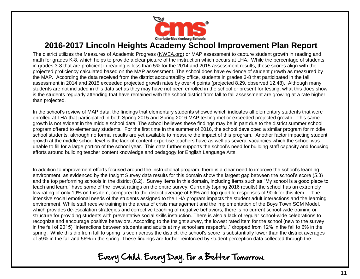

The district utilizes the Measures of Academic Progress [\(NWEA.org\)](https://www.nwea.org/) or MAP assessment to capture student growth in reading and math for grades K-8, which helps to provide a clear picture of the instruction which occurs at LHA. While the percentage of students in grades 3-8 that are proficient in reading is less than 5% for the 2014 and 2015 assessment results, these scores align with the projected proficiency calculated based on the MAP assessment. The school does have evidence of student growth as measured by the MAP. According the data received from the district accountability office, students in grades 3-8 that participated in the fall assessment in 2014 and 2015 exceeded projected growth rates by over 4 points (projected 8.29, observed 12.48). Although many students are not included in this data set as they may have not been enrolled in the school or present for testing, what this does show is the students regularly attending that have remained with the school district from fall to fall assessment are growing at a rate higher than projected.

In the school's review of MAP data, the findings that elementary students showed which indicates all elementary students that were enrolled at LHA that participated in both Spring 2015 and Spring 2016 MAP testing met or exceeded projected growth. This same growth is not evident in the middle school data. The school believes these findings may be in part due to the district summer school program offered to elementary students. For the first time in the summer of 2016, the school developed a similar program for middle school students, although no formal results are yet available to measure the impact of this program. Another factor impacting student growth at the middle school level is the lack of content expertise teachers have as well as several vacancies which the school was unable to fill for a large portion of the school year. This data further supports the school's need for building staff capacity and focusing efforts around building teacher content knowledge and pedagogy for English Language Arts.

In addition to improvement efforts focused around the instructional program, there is a clear need to improve the school's learning environment, as evidenced by the Insight Survey data results for this domain show the largest gap between the school's score (5.3) and the top performing schools in the district (8.2). Survey items in this domain, including items such as "My school is a good place to teach and learn." have some of the lowest ratings on the entire survey. Currently (spring 2016 results) the school has an extremely low rating of only 19% on this item, compared to the district average of 69% and top quartile responses of 90% for this item. The intensive social emotional needs of the students assigned to the LHA program impacts the student adult interactions and the learning environment. While staff receive training in the areas of crisis management and the implementation of the Boys Town SCM Model, which provides de-escalation strategies and corrective teaching of negative behaviors, there is no current school-wide training or structure for providing students with preventative social skills instruction. There is also a lack of regular school-wide celebrations to recognize and encourage positive behaviors. According to the Insight survey, the lowest rated item for the school (new to the survey in the fall of 2015) "Interactions between students and adults at my school are respectful." dropped from 12% in the fall to 6% in the spring. While this dip from fall to spring is seen across the district, the school's score is substantially lower than the district averages of 59% in the fall and 56% in the spring. These findings are further reinforced by student perception data collected through the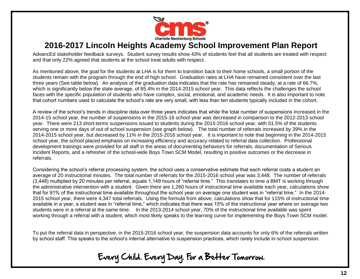

AdvancEd stakeholder feedback surveys. Student survey results show 43% of students feel that all students are treated with respect and that only 22% agreed that students at the school treat adults with respect.

As mentioned above, the goal for the students at LHA is for them to transition back to their home schools, a small portion of the students remain with the program through the end of high school. Graduation rates at LHA have remained consistent over the last three years (See table below). An analysis of the graduation data indicates that the rate has remained steady, at a rate of 66.7%, which is significantly below the state average, of 85.4% in the 2014-2015 school year. This data reflects the challenges the school faces with the specific population of students who have complex, social, emotional, and academic needs. It is also important to note that cohort numbers used to calculate the school's rate are very small, with less than ten students typically included in the cohort.

A review of the school's trends in discipline data over three years indicates that while the total number of suspensions increased in the 2014-15 school year, the number of suspensions in the 2015-16 school year was decreased in comparison to the 2012-2013 school year. There were 213 short-terms suspensions issued to students during the 2015-2016 school year, with 51.5% of the students serving one or more days of out of school suspension (see graph below). The total number of referrals increased by 39% in the 2014-2015 school year, but decreased by 11% in the 2015-2016 school year. It is important to note that beginning in the 2014-2015 school year, the school placed emphasis on increasing efficiency and accuracy related to referral data collection. Professional development trainings were provided for all staff in the areas of documenting behaviors for referrals, documentation of Serious Incident Reports, and a refresher of the school-wide Boys Town SCM Model, resulting in positive outcomes or the decrease in referrals.

Considering the school's referral processing system, the school uses a conservative estimate that each referral costs a student an average of 20 instructional minutes. The total number of referrals for the 2015-2016 school year was 3,448. The number of referrals (3,448) multiplied by 20 minutes per referral, equals 1,149 hours of "referral time." This translates to time a BMT is working through the administrative intervention with a student. Given there are 1,260 hours of instructional time available each year, calculations show that for 91% of the instructional time available throughout the school year on average one student was in "referral time." In the 2014- 2015 school year, there were 4,347 total referrals. Using the formula from above, calculations show that for 115% of instructional time available in a year, a student was in "referral time," which indicates that there was 15% of the instructional year where on average two students were in a referral at the same time. In the 2013-2014 school year, 70% of the instructional time available was spent working through a referral with a student, which most likely speaks to the learning curve for implementing the Boys Town SCM model.

To put the referral data in perspective, in the 2015-2016 school year, the suspension data accounts for only 6% of the referrals written by school staff. This speaks to the school's internal alternative to suspension practices, which rarely include in-school suspension.

Every Child. Every Day. For a Better Tomorrow.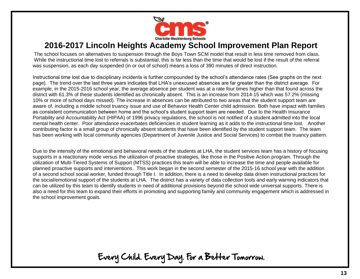

The school focuses on alternatives to suspension through the Boys Town SCM model that result in less time removed from class. While the instructional time lost to referrals is substantial, this is far less than the time that would be lost if the result of the referral was suspension, as each day suspended (in or out of school) means a loss of 390 minutes of direct instruction.

Instructional time lost due to disciplinary incidents is further compounded by the school's attendance rates (See graphs on the next page). The trend over the last three years indicates that LHA's unexcused absences are far greater than the district average. For example, in the 2015-2016 school year, the average absence per student was at a rate four times higher than that found across the district with 61.3% of these students identified as chronically absent. This is an increase from 2014-15 which was 57.2% (missing 10% or more of school days missed). The increase in absences can be attributed to two areas that the student support team are aware of, including a middle school truancy issue and use of Behavior Health Center child admission. Both have impact with families as consistent communication between home and the school's student support team are needed. Due to the Health Insurance Portability and Accountability Act (HIPAA) of 1996 privacy regulations, the school is not notified of a student admitted into the local mental health center. Poor attendance exacerbates deficiencies in student learning as it adds to the instructional time lost. Another contributing factor is a small group of chronically absent students that have been identified by the student support team. The team has been working with local community agencies (Department of Juvenile Justice and Social Services) to combat the truancy pattern.

Due to the intensity of the emotional and behavioral needs of the students at LHA, the student services team has a history of focusing supports in a reactionary mode versus the utilization of proactive strategies, like those in the Positive Action program. Through the utilization of Multi-Tiered Systems of Support (MTSS) practices this team will be able to increase the time and people available for planned proactive supports and interventions. This work began in the second semester of the 2015-16 school year with the addition of a second school social worker, funded through Title I. In addition, there is a need to develop data driven instructional practices for the social/emotional support of the students at LHA. The district has a variety of data collection tools and early warning indicators that can be utilized by this team to identify students in need of additional provisions beyond the school wide universal supports. There is also a need for this team to expand their efforts in promoting and supporting family and community engagement which is addressed in the school improvement goals.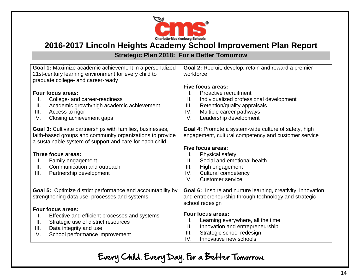

#### **Strategic Plan 2018: For a Better Tomorrow**

| Goal 1: Maximize academic achievement in a personalized<br>21st-century learning environment for every child to<br>graduate college- and career-ready                                            | Goal 2: Recruit, develop, retain and reward a premier<br>workforce<br>Five focus areas:                                                                                                 |  |  |  |
|--------------------------------------------------------------------------------------------------------------------------------------------------------------------------------------------------|-----------------------------------------------------------------------------------------------------------------------------------------------------------------------------------------|--|--|--|
| <b>Four focus areas:</b><br>College- and career-readiness<br>Ι.<br>Academic growth/high academic achievement<br>Ⅱ.<br>Access to rigor<br>III.<br>IV.<br>Closing achievement gaps                 | Proactive recruitment<br>L.<br>Ⅱ.<br>Individualized professional development<br>Retention/quality appraisals<br>III.<br>Multiple career pathways<br>IV.<br>V.<br>Leadership development |  |  |  |
| <b>Goal 3:</b> Cultivate partnerships with families, businesses,<br>faith-based groups and community organizations to provide<br>a sustainable system of support and care for each child         | Goal 4: Promote a system-wide culture of safety, high<br>engagement, cultural competency and customer service                                                                           |  |  |  |
| Three focus areas:<br>Family engagement<br>I.<br>Communication and outreach<br>Ⅱ.<br>III.<br>Partnership development                                                                             | Five focus areas:<br>Physical safety<br>I.<br>Social and emotional health<br>Ш.<br>III.<br>High engagement<br>IV.<br><b>Cultural competency</b><br>V.<br><b>Customer service</b>        |  |  |  |
| <b>Goal 5:</b> Optimize district performance and accountability by<br>strengthening data use, processes and systems                                                                              | Goal 6: Inspire and nurture learning, creativity, innovation<br>and entrepreneurship through technology and strategic<br>school redesign                                                |  |  |  |
| Four focus areas:<br>Effective and efficient processes and systems<br>I.<br>Strategic use of district resources<br>Ш.<br>Data integrity and use<br>III.<br>IV.<br>School performance improvement | Four focus areas:<br>Learning everywhere, all the time<br>ı.<br>Innovation and entrepreneurship<br>ΙΙ.<br>III.<br>Strategic school redesign<br>Innovative new schools<br>IV.            |  |  |  |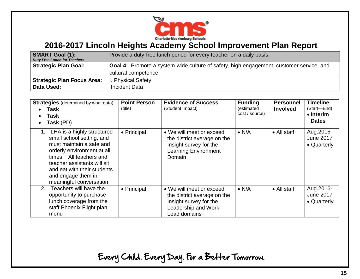

| <b>SMART Goal (1):</b><br><b>Duty Free Lunch for Teachers</b> | Provide a duty-free lunch period for every teacher on a daily basis.                    |
|---------------------------------------------------------------|-----------------------------------------------------------------------------------------|
| <b>Strategic Plan Goal:</b>                                   | Goal 4: Promote a system-wide culture of safety, high engagement, customer service, and |
|                                                               | cultural competence.                                                                    |
| <b>Strategic Plan Focus Area:</b>                             | I. Physical Safety                                                                      |
| Data Used:                                                    | <b>Incident Data</b>                                                                    |

| <b>Strategies</b> (determined by what data)<br>Task<br>Task<br>Task (PD)<br>$\bullet$                                                                                                                                                                        | <b>Point Person</b><br>(title) | <b>Evidence of Success</b><br>(Student Impact)                                                                             | <b>Funding</b><br>(estimated<br>cost / source) | <b>Personnel</b><br><b>Involved</b> | <b>Timeline</b><br>(Start-End)<br>$\bullet$ Interim<br><b>Dates</b> |
|--------------------------------------------------------------------------------------------------------------------------------------------------------------------------------------------------------------------------------------------------------------|--------------------------------|----------------------------------------------------------------------------------------------------------------------------|------------------------------------------------|-------------------------------------|---------------------------------------------------------------------|
| LHA is a highly structured<br>small school setting, and<br>must maintain a safe and<br>orderly environment at all<br>times. All teachers and<br>teacher assistants will sit<br>and eat with their students<br>and engage them in<br>meaningful conversation. | • Principal                    | • We will meet or exceed<br>the district average on the<br>Insight survey for the<br><b>Learning Environment</b><br>Domain | $\bullet$ N/A                                  | $\bullet$ All staff                 | Aug.2016-<br><b>June 2017</b><br>• Quarterly                        |
| Teachers will have the<br>2.<br>opportunity to purchase<br>lunch coverage from the<br>staff Phoenix Flight plan<br>menu                                                                                                                                      | • Principal                    | • We will meet or exceed<br>the district average on the<br>Insight survey for the<br>Leadership and Work<br>Load domains   | $\bullet$ N/A                                  | $\bullet$ All staff                 | Aug.2016-<br><b>June 2017</b><br>• Quarterly                        |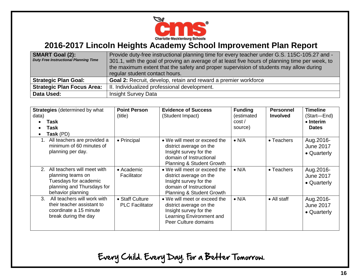

| <b>SMART Goal (2):</b><br><b>Duty Free Instructional Planning Time</b> | Provide duty-free instructional planning time for every teacher under G.S. 115C-105.27 and -<br>301.1, with the goal of proving an average of at least five hours of planning time per week, to<br>the maximum extent that the safety and proper supervision of students may allow during<br>regular student contact hours. |
|------------------------------------------------------------------------|-----------------------------------------------------------------------------------------------------------------------------------------------------------------------------------------------------------------------------------------------------------------------------------------------------------------------------|
| <b>Strategic Plan Goal:</b>                                            | Goal 2: Recruit, develop, retain and reward a premier workforce                                                                                                                                                                                                                                                             |
| <b>Strategic Plan Focus Area:</b>                                      | II. Individualized professional development.                                                                                                                                                                                                                                                                                |
| Data Used:                                                             | <b>Insight Survey Data</b>                                                                                                                                                                                                                                                                                                  |

| <b>Strategies</b> (determined by what<br>data)<br>Task<br>Task<br>$\bullet$<br>Task (PD)<br>$\bullet$                                          | <b>Point Person</b><br>(title)            | <b>Evidence of Success</b><br>(Student Impact)                                                                                                       | <b>Funding</b><br>(estimated<br>cost/<br>source) | <b>Personnel</b><br><b>Involved</b> | <b>Timeline</b><br>(Start-End)<br>$\bullet$ Interim<br><b>Dates</b> |
|------------------------------------------------------------------------------------------------------------------------------------------------|-------------------------------------------|------------------------------------------------------------------------------------------------------------------------------------------------------|--------------------------------------------------|-------------------------------------|---------------------------------------------------------------------|
| All teachers are provided a<br>1.<br>minimum of 60 minutes of<br>planning per day.                                                             | • Principal                               | • We will meet or exceed the<br>district average on the<br>Insight survey for the<br>domain of Instructional<br><b>Planning &amp; Student Growth</b> | $\bullet$ N/A                                    | • Teachers                          | Aug.2016-<br><b>June 2017</b><br>• Quarterly                        |
| All teachers will meet with<br>2 <sub>1</sub><br>planning teams on<br>Tuesdays for academic<br>planning and Thursdays for<br>behavior planning | $\bullet$ Academic<br>Facilitator         | • We will meet or exceed the<br>district average on the<br>Insight survey for the<br>domain of Instructional<br>Planning & Student Growth            | $\bullet$ N/A                                    | • Teachers                          | Aug.2016-<br><b>June 2017</b><br>• Quarterly                        |
| All teachers will work with<br>3.<br>their teacher assistant to<br>coordinate a 15 minute<br>break during the day                              | • Staff Culture<br><b>PLC Facilitator</b> | • We will meet or exceed the<br>district average on the<br>Insight survey for the<br>Learning Environment and<br>Peer Culture domains                | $\bullet$ N/A                                    | $\bullet$ All staff                 | Aug.2016-<br><b>June 2017</b><br>• Quarterly                        |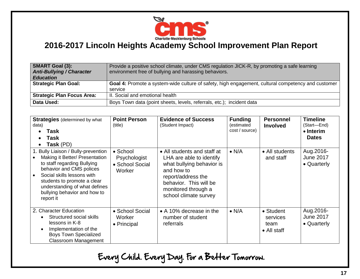

| <b>SMART Goal (3):</b><br><b>Anti-Bullying / Character</b><br><b>Education</b> | Provide a positive school climate, under CMS regulation JICK-R, by promoting a safe learning<br>environment free of bullying and harassing behaviors. |
|--------------------------------------------------------------------------------|-------------------------------------------------------------------------------------------------------------------------------------------------------|
| <b>Strategic Plan Goal:</b>                                                    | Goal 4: Promote a system-wide culture of safety, high engagement, cultural competency and customer                                                    |
|                                                                                | service                                                                                                                                               |
| <b>Strategic Plan Focus Area:</b>                                              | II. Social and emotional health                                                                                                                       |
| Data Used:                                                                     | Boys Town data (point sheets, levels, referrals, etc.); incident data                                                                                 |

| <b>Strategies</b> (determined by what<br>data)<br>Task<br>Task<br>Task (PD)<br>$\bullet$                                                                                                                                                                                    | <b>Point Person</b><br>(title)                        | <b>Evidence of Success</b><br>(Student Impact)                                                                                                                                                     | <b>Funding</b><br>(estimated<br>cost / source) | <b>Personnel</b><br><b>Involved</b>                          | <b>Timeline</b><br>(Start—End)<br>• Interim<br><b>Dates</b> |
|-----------------------------------------------------------------------------------------------------------------------------------------------------------------------------------------------------------------------------------------------------------------------------|-------------------------------------------------------|----------------------------------------------------------------------------------------------------------------------------------------------------------------------------------------------------|------------------------------------------------|--------------------------------------------------------------|-------------------------------------------------------------|
| 1. Bully Liaison / Bully-prevention<br>Making it Better/ Presentation<br>to staff regarding Bullying<br>behavior and CMS polices<br>Social skills lessons with<br>students to promote a clear<br>understanding of what defines<br>bullying behavior and how to<br>report it | • School<br>Psychologist<br>• School Social<br>Worker | • All students and staff at<br>LHA are able to identify<br>what bullying behavior is<br>and how to<br>report/address the<br>behavior. This will be<br>monitored through a<br>school climate survey | $\bullet$ N/A                                  | • All students<br>and staff                                  | Aug.2016-<br><b>June 2017</b><br>• Quarterly                |
| 2. Character Education<br>Structured social skills<br>lessons in K-8<br>Implementation of the<br><b>Boys Town Specialized</b><br><b>Classroom Management</b>                                                                                                                | • School Social<br>Worker<br>• Principal              | • A 10% decrease in the<br>number of student<br>referrals                                                                                                                                          | $\bullet$ N/A                                  | $\bullet$ Student<br>services<br>team<br>$\bullet$ All staff | Aug.2016-<br><b>June 2017</b><br>• Quarterly                |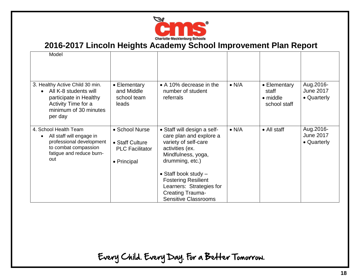

| Model                                                                                                                                         |                                                                            |                                                                                                                                                                                                                                                                                          |               |                                                           |                                              |
|-----------------------------------------------------------------------------------------------------------------------------------------------|----------------------------------------------------------------------------|------------------------------------------------------------------------------------------------------------------------------------------------------------------------------------------------------------------------------------------------------------------------------------------|---------------|-----------------------------------------------------------|----------------------------------------------|
| 3. Healthy Active Child 30 min.<br>All K-8 students will<br>participate in Healthy<br>Activity Time for a<br>minimum of 30 minutes<br>per day | • Elementary<br>and Middle<br>school team<br>leads                         | • A 10% decrease in the<br>number of student<br>referrals                                                                                                                                                                                                                                | $\bullet$ N/A | • Elementary<br>staff<br>$\bullet$ middle<br>school staff | Aug.2016-<br><b>June 2017</b><br>• Quarterly |
| 4. School Health Team<br>All staff will engage in<br>professional development<br>to combat compassion<br>fatigue and reduce burn-<br>out      | • School Nurse<br>• Staff Culture<br><b>PLC Facilitator</b><br>• Principal | • Staff will design a self-<br>care plan and explore a<br>variety of self-care<br>activities (ex.<br>Mindfulness, yoga,<br>drumming, etc.)<br>• Staff book study $-$<br><b>Fostering Resilient</b><br>Learners: Strategies for<br><b>Creating Trauma-</b><br><b>Sensitive Classrooms</b> | $\bullet$ N/A | • All staff                                               | Aug.2016-<br><b>June 2017</b><br>• Quarterly |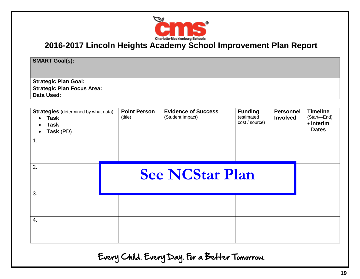

| <b>SMART Goal(s):</b>       |  |
|-----------------------------|--|
|                             |  |
| <b>Strategic Plan Goal:</b> |  |
| Strategic Plan Focus Area:  |  |
| Data Used:                  |  |

| <b>Strategies</b> (determined by what data)<br>Task<br>$\bullet$<br>Task<br>$\bullet$<br>Task (PD)<br>$\bullet$<br>1. | <b>Point Person</b><br>(title) | <b>Evidence of Success</b><br>(Student Impact) | <b>Funding</b><br>(estimated<br>cost / source) | <b>Personnel</b><br><b>Involved</b> | <b>Timeline</b><br>(Start-End)<br>• Interim<br><b>Dates</b> |
|-----------------------------------------------------------------------------------------------------------------------|--------------------------------|------------------------------------------------|------------------------------------------------|-------------------------------------|-------------------------------------------------------------|
| 2.                                                                                                                    | <b>See NCStar Plan</b>         |                                                |                                                |                                     |                                                             |
| 3.                                                                                                                    |                                |                                                |                                                |                                     |                                                             |
| 4.                                                                                                                    |                                |                                                |                                                |                                     |                                                             |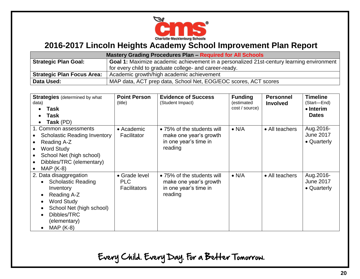

| <b>Mastery Grading Procedures Plan - Required for All Schools</b> |                                                                                                  |  |  |  |
|-------------------------------------------------------------------|--------------------------------------------------------------------------------------------------|--|--|--|
| <b>Strategic Plan Goal:</b>                                       | <b>Goal 1:</b> Maximize academic achievement in a personalized 21st-century learning environment |  |  |  |
|                                                                   | for every child to graduate college- and career-ready.                                           |  |  |  |
| <b>Strategic Plan Focus Area:</b>                                 | Academic growth/high academic achievement                                                        |  |  |  |
| Data Used:                                                        | MAP data, ACT prep data, School Net, EOG/EOC scores, ACT scores                                  |  |  |  |

| <b>Strategies</b> (determined by what<br>data)<br>Task<br>Task<br>Task (PD)                                                                                                    | <b>Point Person</b><br>(title)              | <b>Evidence of Success</b><br>(Student Impact)                                           | <b>Funding</b><br>(estimated<br>cost / source) | <b>Personnel</b><br><b>Involved</b> | <b>Timeline</b><br>(Start-End)<br>• Interim<br><b>Dates</b> |
|--------------------------------------------------------------------------------------------------------------------------------------------------------------------------------|---------------------------------------------|------------------------------------------------------------------------------------------|------------------------------------------------|-------------------------------------|-------------------------------------------------------------|
| 1. Common assessments<br><b>Scholastic Reading Inventory</b><br>Reading A-Z<br><b>Word Study</b><br>School Net (high school)<br>Dibbles/TRC (elementary)<br>$MAP (K-8)$        | • Academic<br>Facilitator                   | • 75% of the students will<br>make one year's growth<br>in one year's time in<br>reading | $\bullet$ N/A                                  | • All teachers                      | Aug.2016-<br><b>June 2017</b><br>• Quarterly                |
| 2. Data disaggregation<br><b>Scholastic Reading</b><br>Inventory<br>Reading A-Z<br><b>Word Study</b><br>School Net (high school)<br>Dibbles/TRC<br>(elementary)<br>$MAP (K-8)$ | • Grade level<br>PLC<br><b>Facilitators</b> | • 75% of the students will<br>make one year's growth<br>in one year's time in<br>reading | $\bullet$ N/A                                  | • All teachers                      | Aug. 2016-<br><b>June 2017</b><br>• Quarterly               |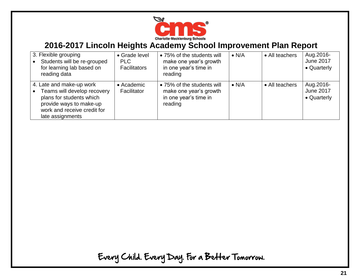

| 3. Flexible grouping<br>Students will be re-grouped<br>for learning lab based on<br>reading data                                                                  | • Grade level<br><b>PLC</b><br><b>Facilitators</b> | • 75% of the students will<br>make one year's growth<br>in one year's time in<br>reading | $\bullet$ N/A | • All teachers | Aug. 2016-<br><b>June 2017</b><br>• Quarterly |
|-------------------------------------------------------------------------------------------------------------------------------------------------------------------|----------------------------------------------------|------------------------------------------------------------------------------------------|---------------|----------------|-----------------------------------------------|
| 4. Late and make-up work<br>Teams will develop recovery<br>plans for students which<br>provide ways to make-up<br>work and receive credit for<br>late assignments | $\bullet$ Academic<br>Facilitator                  | • 75% of the students will<br>make one year's growth<br>in one year's time in<br>reading | $\bullet$ N/A | • All teachers | Aug. 2016-<br><b>June 2017</b><br>• Quarterly |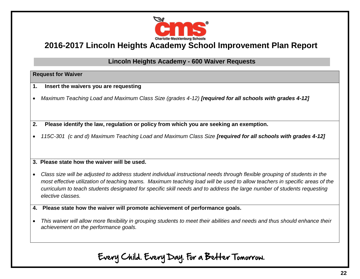

#### **Lincoln Heights Academy - 600 Waiver Requests**

#### **Request for Waiver**

- **1. Insert the waivers you are requesting**
- *Maximum Teaching Load and Maximum Class Size (grades 4-12) [required for all schools with grades 4-12]*
- **2. Please identify the law, regulation or policy from which you are seeking an exemption.**
- *115C-301 (c and d) Maximum Teaching Load and Maximum Class Size [required for all schools with grades 4-12]*

#### **3. Please state how the waiver will be used.**

- *Class size will be adjusted to address student individual instructional needs through flexible grouping of students in the most effective utilization of teaching teams. Maximum teaching load will be used to allow teachers in specific areas of the curriculum to teach students designated for specific skill needs and to address the large number of students requesting elective classes.*
- **4. Please state how the waiver will promote achievement of performance goals.**
- *This waiver will allow more flexibility in grouping students to meet their abilities and needs and thus should enhance their achievement on the performance goals.*